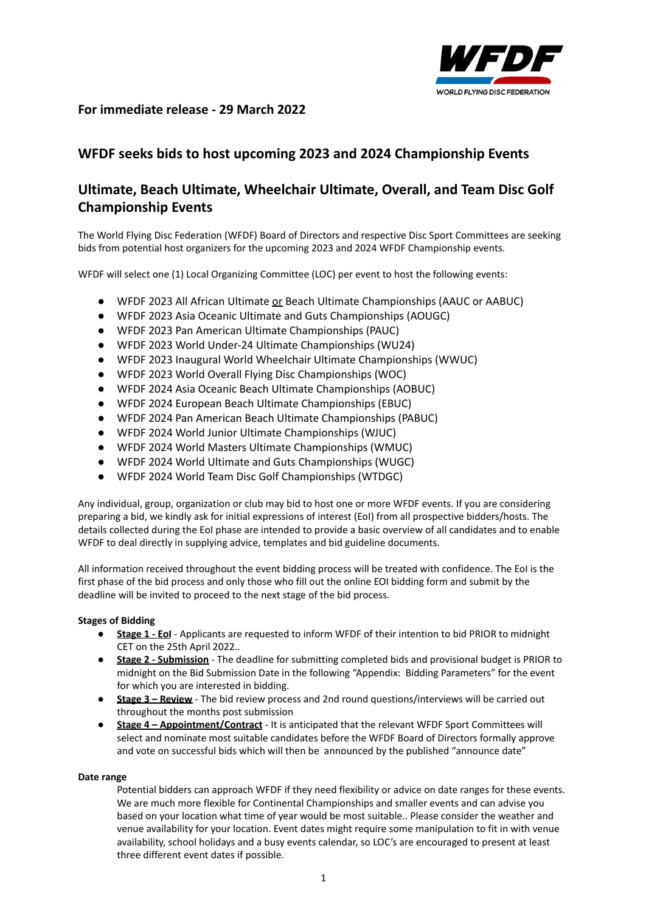

# **For immediate release - 29 March 2022**

# **WFDF seeks bids to host upcoming 2023 and 2024 Championship Events**

# **Ultimate, Beach Ultimate, Wheelchair Ultimate, Overall, and Team Disc Golf Championship Events**

The World Flying Disc Federation (WFDF) Board of Directors and respective Disc Sport Committees are seeking bids from potential host organizers for the upcoming 2023 and 2024 WFDF Championship events.

WFDF will select one (1) Local Organizing Committee (LOC) per event to host the following events:

- WFDF 2023 All African Ultimate or Beach Ultimate Championships (AAUC or AABUC)
- WFDF 2023 Asia Oceanic Ultimate and Guts Championships (AOUGC)
- WFDF 2023 Pan American Ultimate Championships (PAUC)
- WFDF 2023 World Under-24 Ultimate Championships (WU24)
- WFDF 2023 Inaugural World Wheelchair Ultimate Championships (WWUC)
- WFDF 2023 World Overall Flying Disc Championships (WOC)
- WFDF 2024 Asia Oceanic Beach Ultimate Championships (AOBUC)
- WFDF 2024 European Beach Ultimate Championships (EBUC)
- WFDF 2024 Pan American Beach Ultimate Championships (PABUC)
- WFDF 2024 World Junior Ultimate Championships (WJUC)
- WFDF 2024 World Masters Ultimate Championships (WMUC)
- WFDF 2024 World Ultimate and Guts Championships (WUGC)
- WFDF 2024 World Team Disc Golf Championships (WTDGC)

Any individual, group, organization or club may bid to host one or more WFDF events. If you are considering preparing a bid, we kindly ask for initial expressions of interest (EoI) from all prospective bidders/hosts. The details collected during the EoI phase are intended to provide a basic overview of all candidates and to enable WFDF to deal directly in supplying advice, templates and bid guideline documents.

All information received throughout the event bidding process will be treated with confidence. The EoI is the first phase of the bid process and only those who fill out the online EOI bidding form and submit by the deadline will be invited to proceed to the next stage of the bid process.

### **Stages of Bidding**

- **Stage 1 - EoI** Applicants are requested to inform WFDF of their intention to bid PRIOR to midnight CET on the 25th April 2022..
- **Stage 2 - Submission** The deadline for submitting completed bids and provisional budget is PRIOR to midnight on the Bid Submission Date in the following "Appendix: Bidding Parameters" for the event for which you are interested in bidding.
- **Stage 3 – Review** The bid review process and 2nd round questions/interviews will be carried out throughout the months post submission
- **Stage 4 – Appointment/Contract** It is anticipated that the relevant WFDF Sport Committees will select and nominate most suitable candidates before the WFDF Board of Directors formally approve and vote on successful bids which will then be announced by the published "announce date"

#### **Date range**

Potential bidders can approach WFDF if they need flexibility or advice on date ranges for these events. We are much more flexible for Continental Championships and smaller events and can advise you based on your location what time of year would be most suitable.. Please consider the weather and venue availability for your location. Event dates might require some manipulation to fit in with venue availability, school holidays and a busy events calendar, so LOC's are encouraged to present at least three different event dates if possible.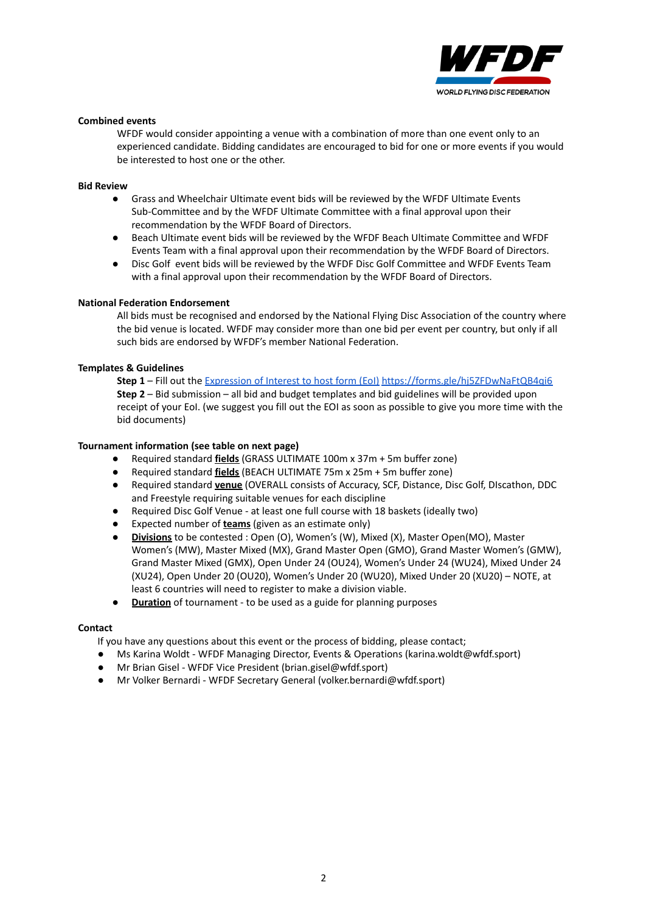

#### **Combined events**

WFDF would consider appointing a venue with a combination of more than one event only to an experienced candidate. Bidding candidates are encouraged to bid for one or more events if you would be interested to host one or the other.

#### **Bid Review**

- Grass and Wheelchair Ultimate event bids will be reviewed by the WFDF Ultimate Events Sub-Committee and by the WFDF Ultimate Committee with a final approval upon their recommendation by the WFDF Board of Directors.
- Beach Ultimate event bids will be reviewed by the WFDF Beach Ultimate Committee and WFDF Events Team with a final approval upon their recommendation by the WFDF Board of Directors.
- Disc Golf event bids will be reviewed by the WFDF Disc Golf Committee and WFDF Events Team with a final approval upon their recommendation by the WFDF Board of Directors.

### **National Federation Endorsement**

All bids must be recognised and endorsed by the National Flying Disc Association of the country where the bid venue is located. WFDF may consider more than one bid per event per country, but only if all such bids are endorsed by WFDF's member National Federation.

#### **Templates & Guidelines**

**Step 1** – Fill out the [Expression](https://forms.gle/hj5ZFDwNaFtQB4qi6) of Interest to host form (EoI) <https://forms.gle/hj5ZFDwNaFtQB4qi6> **Step 2** – Bid submission – all bid and budget templates and bid guidelines will be provided upon receipt of your EoI. (we suggest you fill out the EOI as soon as possible to give you more time with the bid documents)

#### **Tournament information (see table on next page)**

- Required standard **fields** (GRASS ULTIMATE 100m x 37m + 5m buffer zone)
- Required standard **fields** (BEACH ULTIMATE 75m x 25m + 5m buffer zone)
- Required standard **venue** (OVERALL consists of Accuracy, SCF, Distance, Disc Golf, DIscathon, DDC and Freestyle requiring suitable venues for each discipline
- Required Disc Golf Venue at least one full course with 18 baskets (ideally two)
- Expected number of **teams** (given as an estimate only)
- **Divisions** to be contested : Open (O), Women's (W), Mixed (X), Master Open(MO), Master Women's (MW), Master Mixed (MX), Grand Master Open (GMO), Grand Master Women's (GMW), Grand Master Mixed (GMX), Open Under 24 (OU24), Women's Under 24 (WU24), Mixed Under 24 (XU24), Open Under 20 (OU20), Women's Under 20 (WU20), Mixed Under 20 (XU20) – NOTE, at least 6 countries will need to register to make a division viable.
- **Duration** of tournament to be used as a guide for planning purposes

#### **Contact**

If you have any questions about this event or the process of bidding, please contact;

- Ms Karina Woldt WFDF Managing Director, Events & Operations ([karina.woldt@wfdf.](mailto:karina.woldt@wfdf.org)sport)
- Mr Brian Gisel WFDF Vice President (brian.gisel@wfdf.sport)
- Mr Volker Bernardi WFDF Secretary General (volker.bernardi@wfdf.sport)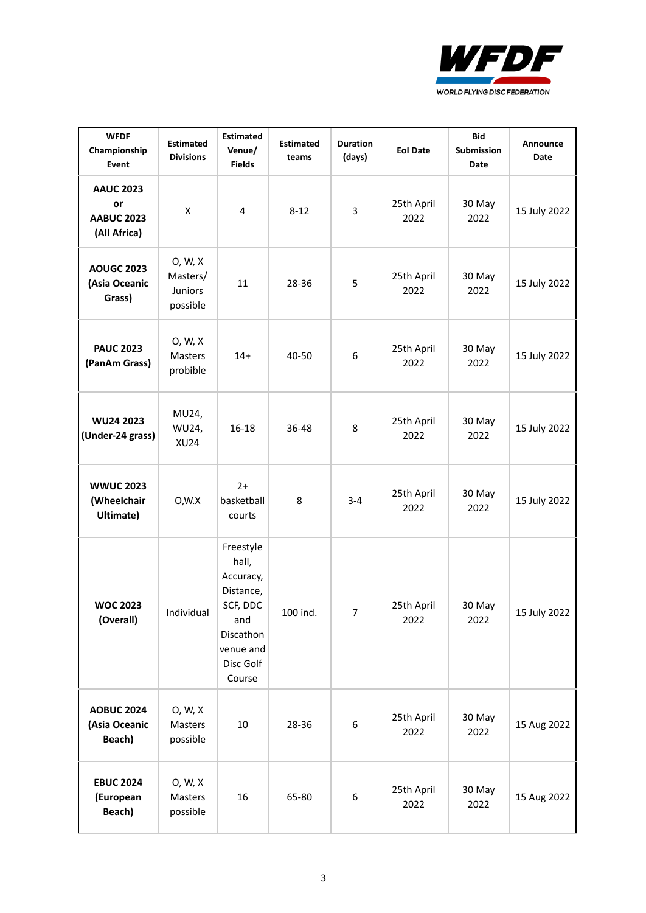

| <b>WFDF</b><br>Championship<br>Event                        | <b>Estimated</b><br><b>Divisions</b>       | <b>Estimated</b><br>Venue/<br><b>Fields</b>                                                                      | <b>Estimated</b><br>teams | <b>Duration</b><br>(days) | <b>Eol Date</b>    | <b>Bid</b><br><b>Submission</b><br>Date | Announce<br>Date |
|-------------------------------------------------------------|--------------------------------------------|------------------------------------------------------------------------------------------------------------------|---------------------------|---------------------------|--------------------|-----------------------------------------|------------------|
| <b>AAUC 2023</b><br>or<br><b>AABUC 2023</b><br>(All Africa) | Χ                                          | 4                                                                                                                | $8 - 12$                  | 3                         | 25th April<br>2022 | 30 May<br>2022                          | 15 July 2022     |
| <b>AOUGC 2023</b><br>(Asia Oceanic<br>Grass)                | 0, W, X<br>Masters/<br>Juniors<br>possible | 11                                                                                                               | 28-36                     | 5                         | 25th April<br>2022 | 30 May<br>2022                          | 15 July 2022     |
| <b>PAUC 2023</b><br>(PanAm Grass)                           | 0, W, X<br>Masters<br>probible             | $14+$                                                                                                            | 40-50                     | 6                         | 25th April<br>2022 | 30 May<br>2022                          | 15 July 2022     |
| <b>WU24 2023</b><br>(Under-24 grass)                        | MU24,<br>WU24,<br><b>XU24</b>              | $16 - 18$                                                                                                        | 36-48                     | 8                         | 25th April<br>2022 | 30 May<br>2022                          | 15 July 2022     |
| <b>WWUC 2023</b><br>(Wheelchair<br>Ultimate)                | O, W. X                                    | $2+$<br>basketball<br>courts                                                                                     | 8                         | $3 - 4$                   | 25th April<br>2022 | 30 May<br>2022                          | 15 July 2022     |
| <b>WOC 2023</b><br>(Overall)                                | Individual                                 | Freestyle<br>hall,<br>Accuracy,<br>Distance,<br>SCF, DDC<br>and<br>Discathon<br>venue and<br>Disc Golf<br>Course | 100 ind.                  | $\overline{7}$            | 25th April<br>2022 | 30 May<br>2022                          | 15 July 2022     |
| <b>AOBUC 2024</b><br>(Asia Oceanic<br>Beach)                | 0, W, X<br>Masters<br>possible             | $10\,$                                                                                                           | 28-36                     | 6                         | 25th April<br>2022 | 30 May<br>2022                          | 15 Aug 2022      |
| <b>EBUC 2024</b><br>(European<br>Beach)                     | 0, W, X<br>Masters<br>possible             | 16                                                                                                               | 65-80                     | 6                         | 25th April<br>2022 | 30 May<br>2022                          | 15 Aug 2022      |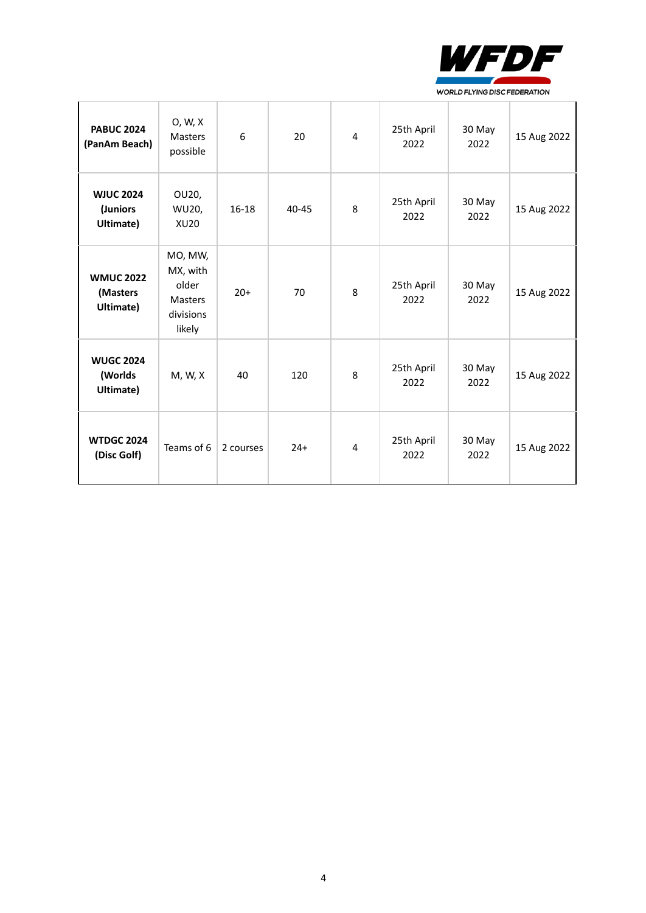

| <b>PABUC 2024</b><br>(PanAm Beach)        | 0, W, X<br><b>Masters</b><br>possible                                 | 6         | 20    | 4            | 25th April<br>2022 | 30 May<br>2022 | 15 Aug 2022 |
|-------------------------------------------|-----------------------------------------------------------------------|-----------|-------|--------------|--------------------|----------------|-------------|
| <b>WJUC 2024</b><br>(Juniors<br>Ultimate) | OU20,<br>WU20,<br><b>XU20</b>                                         | $16 - 18$ | 40-45 | 8            | 25th April<br>2022 | 30 May<br>2022 | 15 Aug 2022 |
| <b>WMUC 2022</b><br>(Masters<br>Ultimate) | MO, MW,<br>MX, with<br>older<br><b>Masters</b><br>divisions<br>likely | $20+$     | 70    | $\mathbf{8}$ | 25th April<br>2022 | 30 May<br>2022 | 15 Aug 2022 |
| <b>WUGC 2024</b><br>(Worlds<br>Ultimate)  | M, W, X                                                               | 40        | 120   | 8            | 25th April<br>2022 | 30 May<br>2022 | 15 Aug 2022 |
| <b>WTDGC 2024</b><br>(Disc Golf)          | Teams of 6                                                            | 2 courses | $24+$ | 4            | 25th April<br>2022 | 30 May<br>2022 | 15 Aug 2022 |